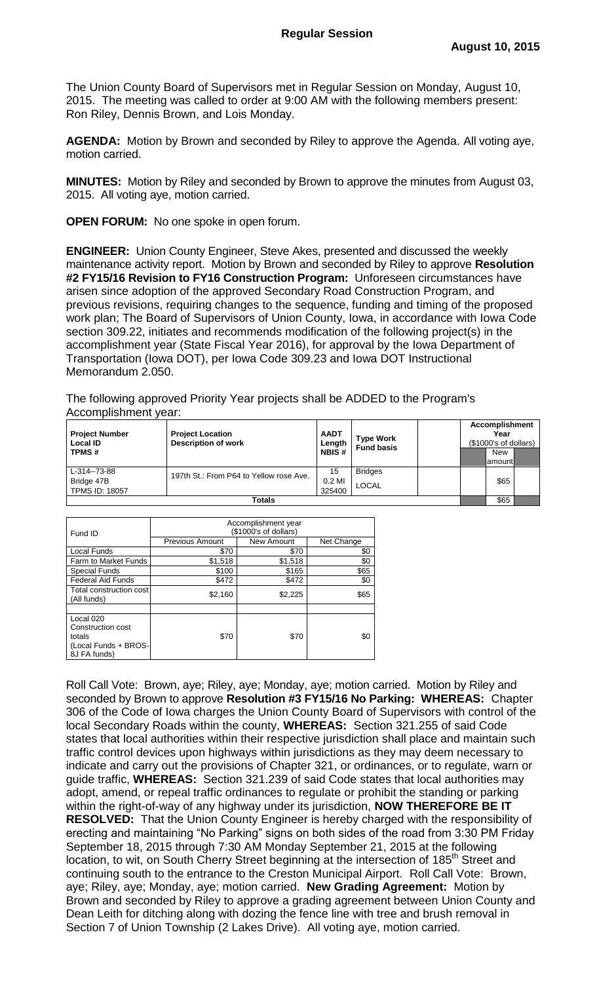The Union County Board of Supervisors met in Regular Session on Monday, August 10, 2015. The meeting was called to order at 9:00 AM with the following members present: Ron Riley, Dennis Brown, and Lois Monday.

**AGENDA:** Motion by Brown and seconded by Riley to approve the Agenda. All voting aye, motion carried.

**MINUTES:** Motion by Riley and seconded by Brown to approve the minutes from August 03, 2015. All voting aye, motion carried.

**OPEN FORUM:** No one spoke in open forum.

**ENGINEER:** Union County Engineer, Steve Akes, presented and discussed the weekly maintenance activity report. Motion by Brown and seconded by Riley to approve **Resolution #2 FY15/16 Revision to FY16 Construction Program:** Unforeseen circumstances have arisen since adoption of the approved Secondary Road Construction Program, and previous revisions, requiring changes to the sequence, funding and timing of the proposed work plan; The Board of Supervisors of Union County, Iowa, in accordance with Iowa Code section 309.22, initiates and recommends modification of the following project(s) in the accomplishment year (State Fiscal Year 2016), for approval by the Iowa Department of Transportation (Iowa DOT), per Iowa Code 309.23 and Iowa DOT Instructional Memorandum 2.050.

The following approved Priority Year projects shall be ADDED to the Program's Accomplishment year:

| <b>Project Number</b><br><b>Local ID</b><br><b>TPMS#</b> | <b>Project Location</b><br><b>Description of work</b> | <b>AADT</b><br>Length<br><b>NBIS#</b> | <b>Type Work</b><br><b>Fund basis</b> |  | <b>Accomplishment</b><br>Year<br>(\$1000's of dollars) |                 |  |
|----------------------------------------------------------|-------------------------------------------------------|---------------------------------------|---------------------------------------|--|--------------------------------------------------------|-----------------|--|
|                                                          |                                                       |                                       |                                       |  |                                                        | New<br>Iamountl |  |
| L-314--73-88                                             | 197th St.: From P64 to Yellow rose Ave.               | 15                                    | <b>Bridges</b>                        |  |                                                        |                 |  |
| Bridge 47B                                               |                                                       | 0.2 MI                                | LOCAL                                 |  |                                                        | \$65            |  |
| <b>TPMS ID: 18057</b>                                    |                                                       | 325400                                |                                       |  |                                                        |                 |  |
| Totals                                                   |                                                       |                                       |                                       |  | \$65                                                   |                 |  |

| Fund ID                                                                          | Accomplishment year<br>(\$1000's of dollars) |            |            |  |  |
|----------------------------------------------------------------------------------|----------------------------------------------|------------|------------|--|--|
|                                                                                  | <b>Previous Amount</b>                       | New Amount | Net Change |  |  |
| <b>Local Funds</b>                                                               | \$70                                         | \$70       | \$0        |  |  |
| Farm to Market Funds                                                             | \$1,518                                      | \$1,518    | \$0        |  |  |
| <b>Special Funds</b>                                                             | \$100                                        | \$165      | \$65       |  |  |
| <b>Federal Aid Funds</b>                                                         | \$472                                        | \$472      | \$0        |  |  |
| Total construction cost<br>(All funds)                                           | \$2,160                                      | \$2,225    | \$65       |  |  |
|                                                                                  |                                              |            |            |  |  |
| Local 020<br>Construction cost<br>totals<br>(Local Funds + BROS-<br>8J FA funds) | \$70                                         | \$70       | \$0        |  |  |

Roll Call Vote: Brown, aye; Riley, aye; Monday, aye; motion carried. Motion by Riley and seconded by Brown to approve **Resolution #3 FY15/16 No Parking: WHEREAS:** Chapter 306 of the Code of Iowa charges the Union County Board of Supervisors with control of the local Secondary Roads within the county, **WHEREAS:** Section 321.255 of said Code states that local authorities within their respective jurisdiction shall place and maintain such traffic control devices upon highways within jurisdictions as they may deem necessary to indicate and carry out the provisions of Chapter 321, or ordinances, or to regulate, warn or guide traffic, **WHEREAS:** Section 321.239 of said Code states that local authorities may adopt, amend, or repeal traffic ordinances to regulate or prohibit the standing or parking within the right-of-way of any highway under its jurisdiction, **NOW THEREFORE BE IT RESOLVED:** That the Union County Engineer is hereby charged with the responsibility of erecting and maintaining "No Parking" signs on both sides of the road from 3:30 PM Friday September 18, 2015 through 7:30 AM Monday September 21, 2015 at the following location, to wit, on South Cherry Street beginning at the intersection of 185<sup>th</sup> Street and continuing south to the entrance to the Creston Municipal Airport. Roll Call Vote: Brown, aye; Riley, aye; Monday, aye; motion carried. **New Grading Agreement:** Motion by Brown and seconded by Riley to approve a grading agreement between Union County and Dean Leith for ditching along with dozing the fence line with tree and brush removal in Section 7 of Union Township (2 Lakes Drive). All voting aye, motion carried.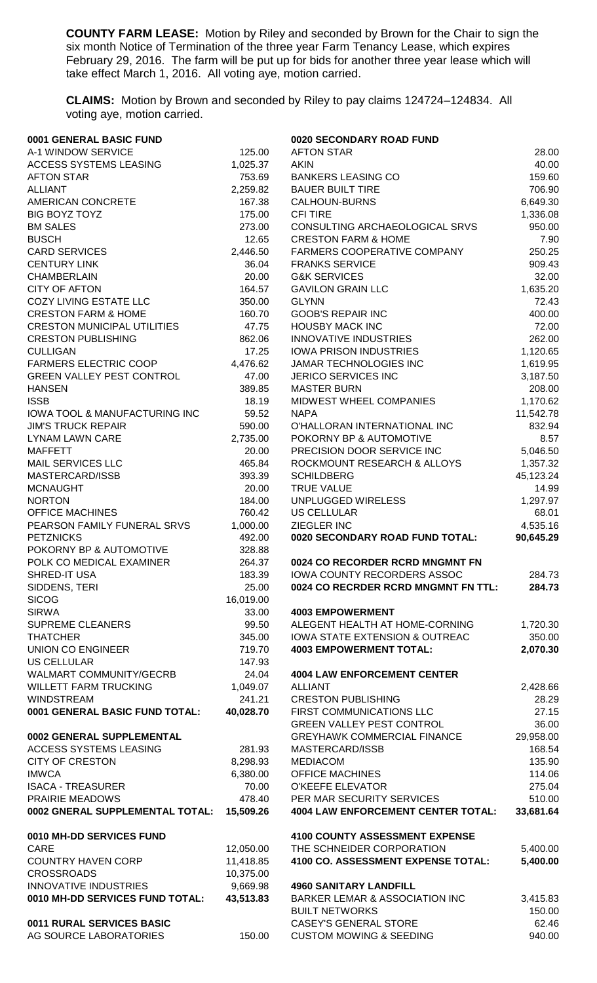**COUNTY FARM LEASE:** Motion by Riley and seconded by Brown for the Chair to sign the six month Notice of Termination of the three year Farm Tenancy Lease, which expires February 29, 2016. The farm will be put up for bids for another three year lease which will take effect March 1, 2016. All voting aye, motion carried.

**CLAIMS:** Motion by Brown and seconded by Riley to pay claims 124724–124834. All voting aye, motion carried.

| 0001 GENERAL BASIC FUND            |           | 0020 SECONDARY ROAD FUND                  |           |
|------------------------------------|-----------|-------------------------------------------|-----------|
| A-1 WINDOW SERVICE                 | 125.00    | <b>AFTON STAR</b>                         | 28.00     |
| ACCESS SYSTEMS LEASING             | 1,025.37  | <b>AKIN</b>                               | 40.00     |
| <b>AFTON STAR</b>                  | 753.69    | <b>BANKERS LEASING CO</b>                 | 159.60    |
| <b>ALLIANT</b>                     | 2,259.82  | <b>BAUER BUILT TIRE</b>                   | 706.90    |
| <b>AMERICAN CONCRETE</b>           | 167.38    | <b>CALHOUN-BURNS</b>                      | 6,649.30  |
| BIG BOYZ TOYZ                      | 175.00    | <b>CFI TIRE</b>                           | 1,336.08  |
| <b>BM SALES</b>                    | 273.00    | CONSULTING ARCHAEOLOGICAL SRVS            | 950.00    |
| <b>BUSCH</b>                       | 12.65     | <b>CRESTON FARM &amp; HOME</b>            | 7.90      |
| <b>CARD SERVICES</b>               | 2,446.50  | FARMERS COOPERATIVE COMPANY               | 250.25    |
| <b>CENTURY LINK</b>                | 36.04     | <b>FRANKS SERVICE</b>                     | 909.43    |
| <b>CHAMBERLAIN</b>                 | 20.00     | <b>G&amp;K SERVICES</b>                   | 32.00     |
| <b>CITY OF AFTON</b>               | 164.57    | <b>GAVILON GRAIN LLC</b>                  | 1,635.20  |
| COZY LIVING ESTATE LLC             | 350.00    | <b>GLYNN</b>                              | 72.43     |
| <b>CRESTON FARM &amp; HOME</b>     | 160.70    | <b>GOOB'S REPAIR INC</b>                  | 400.00    |
| <b>CRESTON MUNICIPAL UTILITIES</b> | 47.75     | <b>HOUSBY MACK INC</b>                    | 72.00     |
| <b>CRESTON PUBLISHING</b>          | 862.06    | <b>INNOVATIVE INDUSTRIES</b>              | 262.00    |
| <b>CULLIGAN</b>                    | 17.25     | <b>IOWA PRISON INDUSTRIES</b>             |           |
|                                    |           |                                           | 1,120.65  |
| <b>FARMERS ELECTRIC COOP</b>       | 4,476.62  | JAMAR TECHNOLOGIES INC                    | 1,619.95  |
| <b>GREEN VALLEY PEST CONTROL</b>   | 47.00     | JERICO SERVICES INC                       | 3,187.50  |
| <b>HANSEN</b>                      | 389.85    | <b>MASTER BURN</b>                        | 208.00    |
| <b>ISSB</b>                        | 18.19     | MIDWEST WHEEL COMPANIES                   | 1,170.62  |
| IOWA TOOL & MANUFACTURING INC      | 59.52     | <b>NAPA</b>                               | 11,542.78 |
| <b>JIM'S TRUCK REPAIR</b>          | 590.00    | O'HALLORAN INTERNATIONAL INC              | 832.94    |
| <b>LYNAM LAWN CARE</b>             | 2,735.00  | POKORNY BP & AUTOMOTIVE                   | 8.57      |
| <b>MAFFETT</b>                     | 20.00     | PRECISION DOOR SERVICE INC                | 5,046.50  |
| MAIL SERVICES LLC                  | 465.84    | ROCKMOUNT RESEARCH & ALLOYS               | 1,357.32  |
| MASTERCARD/ISSB                    | 393.39    | <b>SCHILDBERG</b>                         | 45,123.24 |
| <b>MCNAUGHT</b>                    | 20.00     | <b>TRUE VALUE</b>                         | 14.99     |
| <b>NORTON</b>                      | 184.00    | UNPLUGGED WIRELESS                        | 1,297.97  |
| <b>OFFICE MACHINES</b>             | 760.42    | <b>US CELLULAR</b>                        | 68.01     |
| PEARSON FAMILY FUNERAL SRVS        | 1,000.00  | ZIEGLER INC                               | 4,535.16  |
| <b>PETZNICKS</b>                   | 492.00    | 0020 SECONDARY ROAD FUND TOTAL:           | 90,645.29 |
| POKORNY BP & AUTOMOTIVE            | 328.88    |                                           |           |
| POLK CO MEDICAL EXAMINER           | 264.37    | 0024 CO RECORDER RCRD MNGMNT FN           |           |
| SHRED-IT USA                       | 183.39    | IOWA COUNTY RECORDERS ASSOC               | 284.73    |
| SIDDENS, TERI                      | 25.00     | 0024 CO RECRDER RCRD MNGMNT FN TTL:       | 284.73    |
| <b>SICOG</b>                       | 16,019.00 |                                           |           |
| <b>SIRWA</b>                       | 33.00     | <b>4003 EMPOWERMENT</b>                   |           |
| <b>SUPREME CLEANERS</b>            | 99.50     | ALEGENT HEALTH AT HOME-CORNING            | 1,720.30  |
| <b>THATCHER</b>                    | 345.00    | IOWA STATE EXTENSION & OUTREAC            | 350.00    |
| <b>UNION CO ENGINEER</b>           | 719.70    | <b>4003 EMPOWERMENT TOTAL:</b>            | 2,070.30  |
| <b>US CELLULAR</b>                 | 147.93    |                                           |           |
| WALMART COMMUNITY/GECRB            | 24.04     | <b>4004 LAW ENFORCEMENT CENTER</b>        |           |
|                                    |           |                                           |           |
| <b>WILLETT FARM TRUCKING</b>       | 1,049.07  | <b>ALLIANT</b>                            | 2,428.66  |
| <b>WINDSTREAM</b>                  | 241.21    | <b>CRESTON PUBLISHING</b>                 | 28.29     |
| 0001 GENERAL BASIC FUND TOTAL:     | 40,028.70 | FIRST COMMUNICATIONS LLC                  | 27.15     |
|                                    |           | <b>GREEN VALLEY PEST CONTROL</b>          | 36.00     |
| 0002 GENERAL SUPPLEMENTAL          |           | <b>GREYHAWK COMMERCIAL FINANCE</b>        | 29,958.00 |
| ACCESS SYSTEMS LEASING             | 281.93    | MASTERCARD/ISSB                           | 168.54    |
| <b>CITY OF CRESTON</b>             | 8,298.93  | <b>MEDIACOM</b>                           | 135.90    |
| <b>IMWCA</b>                       | 6,380.00  | <b>OFFICE MACHINES</b>                    | 114.06    |
| <b>ISACA - TREASURER</b>           | 70.00     | <b>O'KEEFE ELEVATOR</b>                   | 275.04    |
| PRAIRIE MEADOWS                    | 478.40    | PER MAR SECURITY SERVICES                 | 510.00    |
| 0002 GNERAL SUPPLEMENTAL TOTAL:    | 15,509.26 | <b>4004 LAW ENFORCEMENT CENTER TOTAL:</b> | 33,681.64 |
|                                    |           |                                           |           |
| 0010 MH-DD SERVICES FUND           |           | <b>4100 COUNTY ASSESSMENT EXPENSE</b>     |           |
| <b>CARE</b>                        | 12,050.00 | THE SCHNEIDER CORPORATION                 | 5,400.00  |
| <b>COUNTRY HAVEN CORP</b>          | 11,418.85 | 4100 CO. ASSESSMENT EXPENSE TOTAL:        | 5,400.00  |
| <b>CROSSROADS</b>                  | 10,375.00 |                                           |           |
| <b>INNOVATIVE INDUSTRIES</b>       | 9,669.98  | <b>4960 SANITARY LANDFILL</b>             |           |
| 0010 MH-DD SERVICES FUND TOTAL:    | 43,513.83 | <b>BARKER LEMAR &amp; ASSOCIATION INC</b> | 3,415.83  |
|                                    |           | <b>BUILT NETWORKS</b>                     | 150.00    |
| 0011 RURAL SERVICES BASIC          |           | <b>CASEY'S GENERAL STORE</b>              | 62.46     |
| AG SOURCE LABORATORIES             | 150.00    | <b>CUSTOM MOWING &amp; SEEDING</b>        | 940.00    |
|                                    |           |                                           |           |